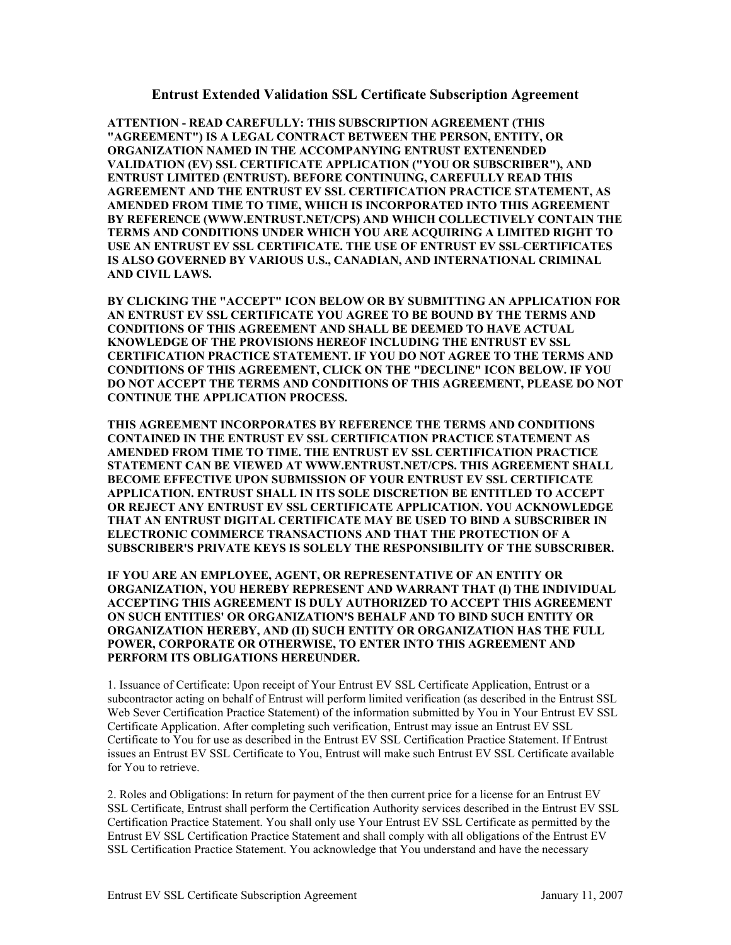## **Entrust Extended Validation SSL Certificate Subscription Agreement**

**ATTENTION - READ CAREFULLY: THIS SUBSCRIPTION AGREEMENT (THIS "AGREEMENT") IS A LEGAL CONTRACT BETWEEN THE PERSON, ENTITY, OR ORGANIZATION NAMED IN THE ACCOMPANYING ENTRUST EXTENENDED VALIDATION (EV) SSL CERTIFICATE APPLICATION ("YOU OR SUBSCRIBER"), AND ENTRUST LIMITED (ENTRUST). BEFORE CONTINUING, CAREFULLY READ THIS AGREEMENT AND THE ENTRUST EV SSL CERTIFICATION PRACTICE STATEMENT, AS AMENDED FROM TIME TO TIME, WHICH IS INCORPORATED INTO THIS AGREEMENT BY REFERENCE (WWW.ENTRUST.NET/CPS) AND WHICH COLLECTIVELY CONTAIN THE TERMS AND CONDITIONS UNDER WHICH YOU ARE ACQUIRING A LIMITED RIGHT TO USE AN ENTRUST EV SSL CERTIFICATE. THE USE OF ENTRUST EV SSL CERTIFICATES IS ALSO GOVERNED BY VARIOUS U.S., CANADIAN, AND INTERNATIONAL CRIMINAL AND CIVIL LAWS.** 

**BY CLICKING THE "ACCEPT" ICON BELOW OR BY SUBMITTING AN APPLICATION FOR AN ENTRUST EV SSL CERTIFICATE YOU AGREE TO BE BOUND BY THE TERMS AND CONDITIONS OF THIS AGREEMENT AND SHALL BE DEEMED TO HAVE ACTUAL KNOWLEDGE OF THE PROVISIONS HEREOF INCLUDING THE ENTRUST EV SSL CERTIFICATION PRACTICE STATEMENT. IF YOU DO NOT AGREE TO THE TERMS AND CONDITIONS OF THIS AGREEMENT, CLICK ON THE "DECLINE" ICON BELOW. IF YOU DO NOT ACCEPT THE TERMS AND CONDITIONS OF THIS AGREEMENT, PLEASE DO NOT CONTINUE THE APPLICATION PROCESS.**

**THIS AGREEMENT INCORPORATES BY REFERENCE THE TERMS AND CONDITIONS CONTAINED IN THE ENTRUST EV SSL CERTIFICATION PRACTICE STATEMENT AS AMENDED FROM TIME TO TIME. THE ENTRUST EV SSL CERTIFICATION PRACTICE STATEMENT CAN BE VIEWED AT WWW.ENTRUST.NET/CPS. THIS AGREEMENT SHALL BECOME EFFECTIVE UPON SUBMISSION OF YOUR ENTRUST EV SSL CERTIFICATE APPLICATION. ENTRUST SHALL IN ITS SOLE DISCRETION BE ENTITLED TO ACCEPT OR REJECT ANY ENTRUST EV SSL CERTIFICATE APPLICATION. YOU ACKNOWLEDGE THAT AN ENTRUST DIGITAL CERTIFICATE MAY BE USED TO BIND A SUBSCRIBER IN ELECTRONIC COMMERCE TRANSACTIONS AND THAT THE PROTECTION OF A SUBSCRIBER'S PRIVATE KEYS IS SOLELY THE RESPONSIBILITY OF THE SUBSCRIBER.** 

**IF YOU ARE AN EMPLOYEE, AGENT, OR REPRESENTATIVE OF AN ENTITY OR ORGANIZATION, YOU HEREBY REPRESENT AND WARRANT THAT (I) THE INDIVIDUAL ACCEPTING THIS AGREEMENT IS DULY AUTHORIZED TO ACCEPT THIS AGREEMENT ON SUCH ENTITIES' OR ORGANIZATION'S BEHALF AND TO BIND SUCH ENTITY OR ORGANIZATION HEREBY, AND (II) SUCH ENTITY OR ORGANIZATION HAS THE FULL POWER, CORPORATE OR OTHERWISE, TO ENTER INTO THIS AGREEMENT AND PERFORM ITS OBLIGATIONS HEREUNDER.** 

1. Issuance of Certificate: Upon receipt of Your Entrust EV SSL Certificate Application, Entrust or a subcontractor acting on behalf of Entrust will perform limited verification (as described in the Entrust SSL Web Sever Certification Practice Statement) of the information submitted by You in Your Entrust EV SSL Certificate Application. After completing such verification, Entrust may issue an Entrust EV SSL Certificate to You for use as described in the Entrust EV SSL Certification Practice Statement. If Entrust issues an Entrust EV SSL Certificate to You, Entrust will make such Entrust EV SSL Certificate available for You to retrieve.

2. Roles and Obligations: In return for payment of the then current price for a license for an Entrust EV SSL Certificate, Entrust shall perform the Certification Authority services described in the Entrust EV SSL Certification Practice Statement. You shall only use Your Entrust EV SSL Certificate as permitted by the Entrust EV SSL Certification Practice Statement and shall comply with all obligations of the Entrust EV SSL Certification Practice Statement. You acknowledge that You understand and have the necessary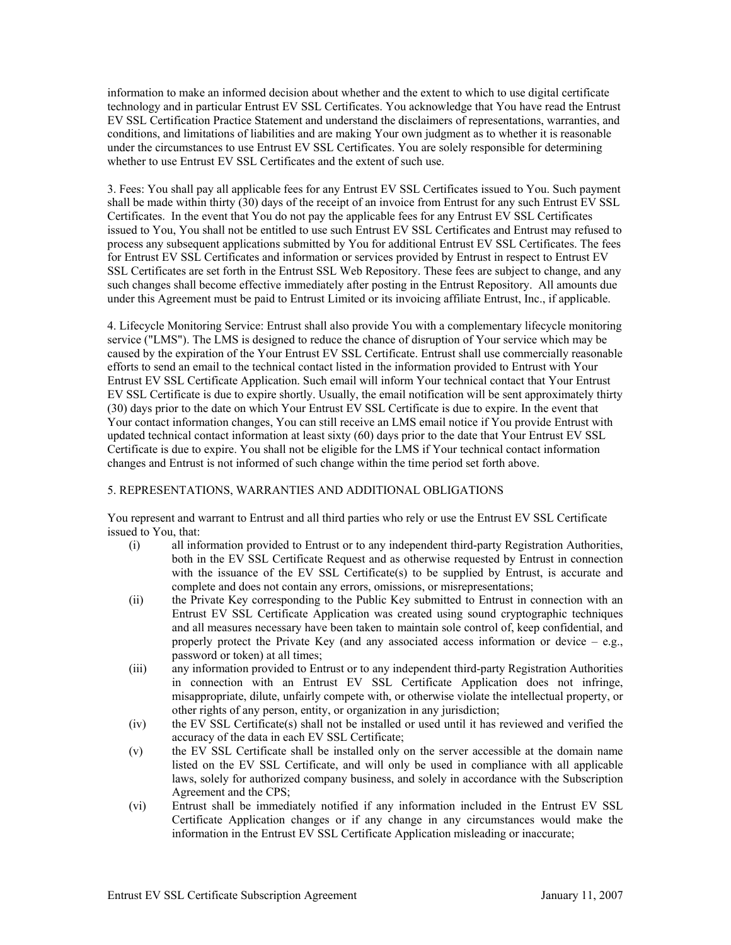information to make an informed decision about whether and the extent to which to use digital certificate technology and in particular Entrust EV SSL Certificates. You acknowledge that You have read the Entrust EV SSL Certification Practice Statement and understand the disclaimers of representations, warranties, and conditions, and limitations of liabilities and are making Your own judgment as to whether it is reasonable under the circumstances to use Entrust EV SSL Certificates. You are solely responsible for determining whether to use Entrust EV SSL Certificates and the extent of such use.

3. Fees: You shall pay all applicable fees for any Entrust EV SSL Certificates issued to You. Such payment shall be made within thirty (30) days of the receipt of an invoice from Entrust for any such Entrust EV SSL Certificates. In the event that You do not pay the applicable fees for any Entrust EV SSL Certificates issued to You, You shall not be entitled to use such Entrust EV SSL Certificates and Entrust may refused to process any subsequent applications submitted by You for additional Entrust EV SSL Certificates. The fees for Entrust EV SSL Certificates and information or services provided by Entrust in respect to Entrust EV SSL Certificates are set forth in the Entrust SSL Web Repository. These fees are subject to change, and any such changes shall become effective immediately after posting in the Entrust Repository. All amounts due under this Agreement must be paid to Entrust Limited or its invoicing affiliate Entrust, Inc., if applicable.

4. Lifecycle Monitoring Service: Entrust shall also provide You with a complementary lifecycle monitoring service ("LMS"). The LMS is designed to reduce the chance of disruption of Your service which may be caused by the expiration of the Your Entrust EV SSL Certificate. Entrust shall use commercially reasonable efforts to send an email to the technical contact listed in the information provided to Entrust with Your Entrust EV SSL Certificate Application. Such email will inform Your technical contact that Your Entrust EV SSL Certificate is due to expire shortly. Usually, the email notification will be sent approximately thirty (30) days prior to the date on which Your Entrust EV SSL Certificate is due to expire. In the event that Your contact information changes, You can still receive an LMS email notice if You provide Entrust with updated technical contact information at least sixty (60) days prior to the date that Your Entrust EV SSL Certificate is due to expire. You shall not be eligible for the LMS if Your technical contact information changes and Entrust is not informed of such change within the time period set forth above.

## 5. REPRESENTATIONS, WARRANTIES AND ADDITIONAL OBLIGATIONS

You represent and warrant to Entrust and all third parties who rely or use the Entrust EV SSL Certificate issued to You, that:

- (i) all information provided to Entrust or to any independent third-party Registration Authorities, both in the EV SSL Certificate Request and as otherwise requested by Entrust in connection with the issuance of the EV SSL Certificate(s) to be supplied by Entrust, is accurate and complete and does not contain any errors, omissions, or misrepresentations;
- (ii) the Private Key corresponding to the Public Key submitted to Entrust in connection with an Entrust EV SSL Certificate Application was created using sound cryptographic techniques and all measures necessary have been taken to maintain sole control of, keep confidential, and properly protect the Private Key (and any associated access information or device  $-$  e.g., password or token) at all times;
- (iii) any information provided to Entrust or to any independent third-party Registration Authorities in connection with an Entrust EV SSL Certificate Application does not infringe, misappropriate, dilute, unfairly compete with, or otherwise violate the intellectual property, or other rights of any person, entity, or organization in any jurisdiction;
- (iv) the EV SSL Certificate(s) shall not be installed or used until it has reviewed and verified the accuracy of the data in each EV SSL Certificate;
- (v) the EV SSL Certificate shall be installed only on the server accessible at the domain name listed on the EV SSL Certificate, and will only be used in compliance with all applicable laws, solely for authorized company business, and solely in accordance with the Subscription Agreement and the CPS;
- (vi) Entrust shall be immediately notified if any information included in the Entrust EV SSL Certificate Application changes or if any change in any circumstances would make the information in the Entrust EV SSL Certificate Application misleading or inaccurate;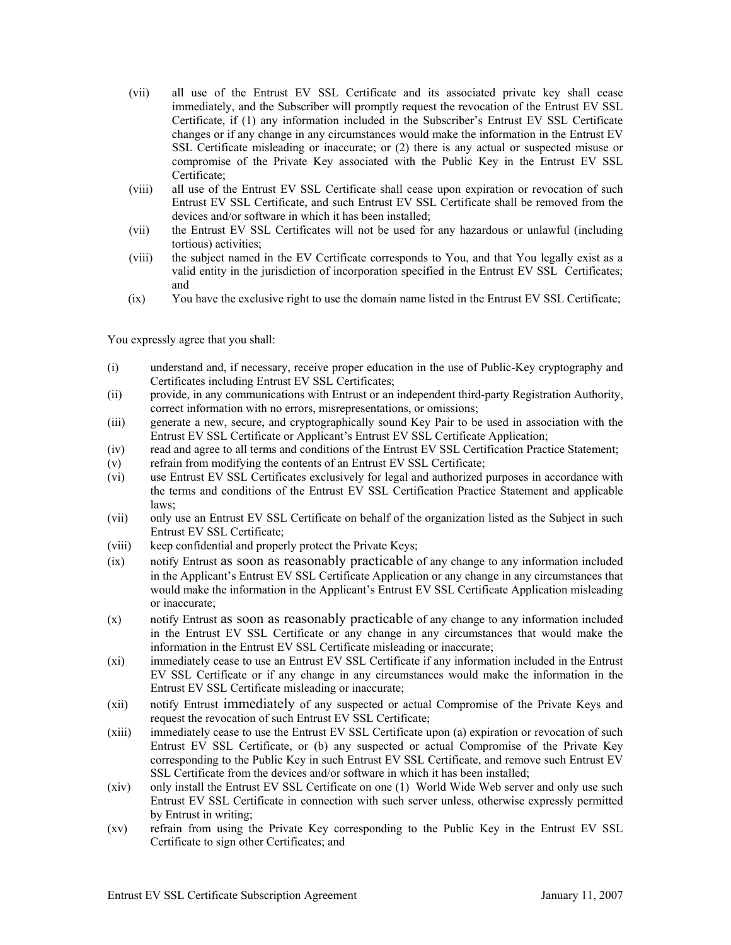- (vii) all use of the Entrust EV SSL Certificate and its associated private key shall cease immediately, and the Subscriber will promptly request the revocation of the Entrust EV SSL Certificate, if (1) any information included in the Subscriber's Entrust EV SSL Certificate changes or if any change in any circumstances would make the information in the Entrust EV SSL Certificate misleading or inaccurate; or (2) there is any actual or suspected misuse or compromise of the Private Key associated with the Public Key in the Entrust EV SSL Certificate;
- (viii) all use of the Entrust EV SSL Certificate shall cease upon expiration or revocation of such Entrust EV SSL Certificate, and such Entrust EV SSL Certificate shall be removed from the devices and/or software in which it has been installed;
- (vii) the Entrust EV SSL Certificates will not be used for any hazardous or unlawful (including tortious) activities;
- (viii) the subject named in the EV Certificate corresponds to You, and that You legally exist as a valid entity in the jurisdiction of incorporation specified in the Entrust EV SSL Certificates; and
- (ix) You have the exclusive right to use the domain name listed in the Entrust EV SSL Certificate;

You expressly agree that you shall:

- (i) understand and, if necessary, receive proper education in the use of Public-Key cryptography and Certificates including Entrust EV SSL Certificates;
- (ii) provide, in any communications with Entrust or an independent third-party Registration Authority, correct information with no errors, misrepresentations, or omissions;
- (iii) generate a new, secure, and cryptographically sound Key Pair to be used in association with the Entrust EV SSL Certificate or Applicant's Entrust EV SSL Certificate Application;
- (iv) read and agree to all terms and conditions of the Entrust EV SSL Certification Practice Statement;
- (v) refrain from modifying the contents of an Entrust EV SSL Certificate;
- (vi) use Entrust EV SSL Certificates exclusively for legal and authorized purposes in accordance with the terms and conditions of the Entrust EV SSL Certification Practice Statement and applicable laws;
- (vii) only use an Entrust EV SSL Certificate on behalf of the organization listed as the Subject in such Entrust EV SSL Certificate;
- (viii) keep confidential and properly protect the Private Keys;
- (ix) notify Entrust as soon as reasonably practicable of any change to any information included in the Applicant's Entrust EV SSL Certificate Application or any change in any circumstances that would make the information in the Applicant's Entrust EV SSL Certificate Application misleading or inaccurate;
- (x) notify Entrust as soon as reasonably practicable of any change to any information included in the Entrust EV SSL Certificate or any change in any circumstances that would make the information in the Entrust EV SSL Certificate misleading or inaccurate;
- (xi) immediately cease to use an Entrust EV SSL Certificate if any information included in the Entrust EV SSL Certificate or if any change in any circumstances would make the information in the Entrust EV SSL Certificate misleading or inaccurate;
- (xii) notify Entrust immediately of any suspected or actual Compromise of the Private Keys and request the revocation of such Entrust EV SSL Certificate;
- (xiii) immediately cease to use the Entrust EV SSL Certificate upon (a) expiration or revocation of such Entrust EV SSL Certificate, or (b) any suspected or actual Compromise of the Private Key corresponding to the Public Key in such Entrust EV SSL Certificate, and remove such Entrust EV SSL Certificate from the devices and/or software in which it has been installed;
- (xiv) only install the Entrust EV SSL Certificate on one (1) World Wide Web server and only use such Entrust EV SSL Certificate in connection with such server unless, otherwise expressly permitted by Entrust in writing;
- (xv) refrain from using the Private Key corresponding to the Public Key in the Entrust EV SSL Certificate to sign other Certificates; and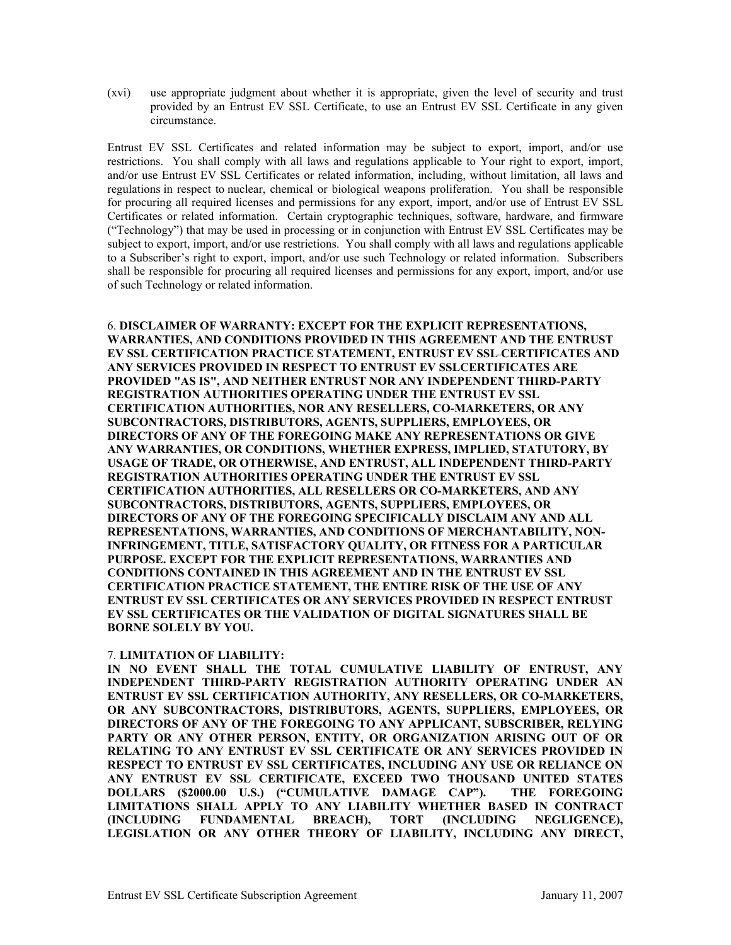(xvi) use appropriate judgment about whether it is appropriate, given the level of security and trust provided by an Entrust EV SSL Certificate, to use an Entrust EV SSL Certificate in any given circumstance.

Entrust EV SSL Certificates and related information may be subject to export, import, and/or use restrictions. You shall comply with all laws and regulations applicable to Your right to export, import, and/or use Entrust EV SSL Certificates or related information, including, without limitation, all laws and regulations in respect to nuclear, chemical or biological weapons proliferation. You shall be responsible for procuring all required licenses and permissions for any export, import, and/or use of Entrust EV SSL Certificates or related information. Certain cryptographic techniques, software, hardware, and firmware ("Technology") that may be used in processing or in conjunction with Entrust EV SSL Certificates may be subject to export, import, and/or use restrictions. You shall comply with all laws and regulations applicable to a Subscriber's right to export, import, and/or use such Technology or related information. Subscribers shall be responsible for procuring all required licenses and permissions for any export, import, and/or use of such Technology or related information.

6. **DISCLAIMER OF WARRANTY: EXCEPT FOR THE EXPLICIT REPRESENTATIONS, WARRANTIES, AND CONDITIONS PROVIDED IN THIS AGREEMENT AND THE ENTRUST EV SSL CERTIFICATION PRACTICE STATEMENT, ENTRUST EV SSL CERTIFICATES AND ANY SERVICES PROVIDED IN RESPECT TO ENTRUST EV SSLCERTIFICATES ARE PROVIDED "AS IS", AND NEITHER ENTRUST NOR ANY INDEPENDENT THIRD-PARTY REGISTRATION AUTHORITIES OPERATING UNDER THE ENTRUST EV SSL CERTIFICATION AUTHORITIES, NOR ANY RESELLERS, CO-MARKETERS, OR ANY SUBCONTRACTORS, DISTRIBUTORS, AGENTS, SUPPLIERS, EMPLOYEES, OR DIRECTORS OF ANY OF THE FOREGOING MAKE ANY REPRESENTATIONS OR GIVE ANY WARRANTIES, OR CONDITIONS, WHETHER EXPRESS, IMPLIED, STATUTORY, BY USAGE OF TRADE, OR OTHERWISE, AND ENTRUST, ALL INDEPENDENT THIRD-PARTY REGISTRATION AUTHORITIES OPERATING UNDER THE ENTRUST EV SSL CERTIFICATION AUTHORITIES, ALL RESELLERS OR CO-MARKETERS, AND ANY SUBCONTRACTORS, DISTRIBUTORS, AGENTS, SUPPLIERS, EMPLOYEES, OR DIRECTORS OF ANY OF THE FOREGOING SPECIFICALLY DISCLAIM ANY AND ALL REPRESENTATIONS, WARRANTIES, AND CONDITIONS OF MERCHANTABILITY, NON-INFRINGEMENT, TITLE, SATISFACTORY QUALITY, OR FITNESS FOR A PARTICULAR PURPOSE. EXCEPT FOR THE EXPLICIT REPRESENTATIONS, WARRANTIES AND CONDITIONS CONTAINED IN THIS AGREEMENT AND IN THE ENTRUST EV SSL CERTIFICATION PRACTICE STATEMENT, THE ENTIRE RISK OF THE USE OF ANY ENTRUST EV SSL CERTIFICATES OR ANY SERVICES PROVIDED IN RESPECT ENTRUST EV SSL CERTIFICATES OR THE VALIDATION OF DIGITAL SIGNATURES SHALL BE BORNE SOLELY BY YOU.**

## 7. **LIMITATION OF LIABILITY:**

**IN NO EVENT SHALL THE TOTAL CUMULATIVE LIABILITY OF ENTRUST, ANY INDEPENDENT THIRD-PARTY REGISTRATION AUTHORITY OPERATING UNDER AN ENTRUST EV SSL CERTIFICATION AUTHORITY, ANY RESELLERS, OR CO-MARKETERS, OR ANY SUBCONTRACTORS, DISTRIBUTORS, AGENTS, SUPPLIERS, EMPLOYEES, OR DIRECTORS OF ANY OF THE FOREGOING TO ANY APPLICANT, SUBSCRIBER, RELYING PARTY OR ANY OTHER PERSON, ENTITY, OR ORGANIZATION ARISING OUT OF OR RELATING TO ANY ENTRUST EV SSL CERTIFICATE OR ANY SERVICES PROVIDED IN RESPECT TO ENTRUST EV SSL CERTIFICATES, INCLUDING ANY USE OR RELIANCE ON ANY ENTRUST EV SSL CERTIFICATE, EXCEED TWO THOUSAND UNITED STATES DOLLARS (\$2000.00 U.S.) ("CUMULATIVE DAMAGE CAP"). THE FOREGOING LIMITATIONS SHALL APPLY TO ANY LIABILITY WHETHER BASED IN CONTRACT (INCLUDING FUNDAMENTAL BREACH), TORT (INCLUDING NEGLIGENCE), LEGISLATION OR ANY OTHER THEORY OF LIABILITY, INCLUDING ANY DIRECT,**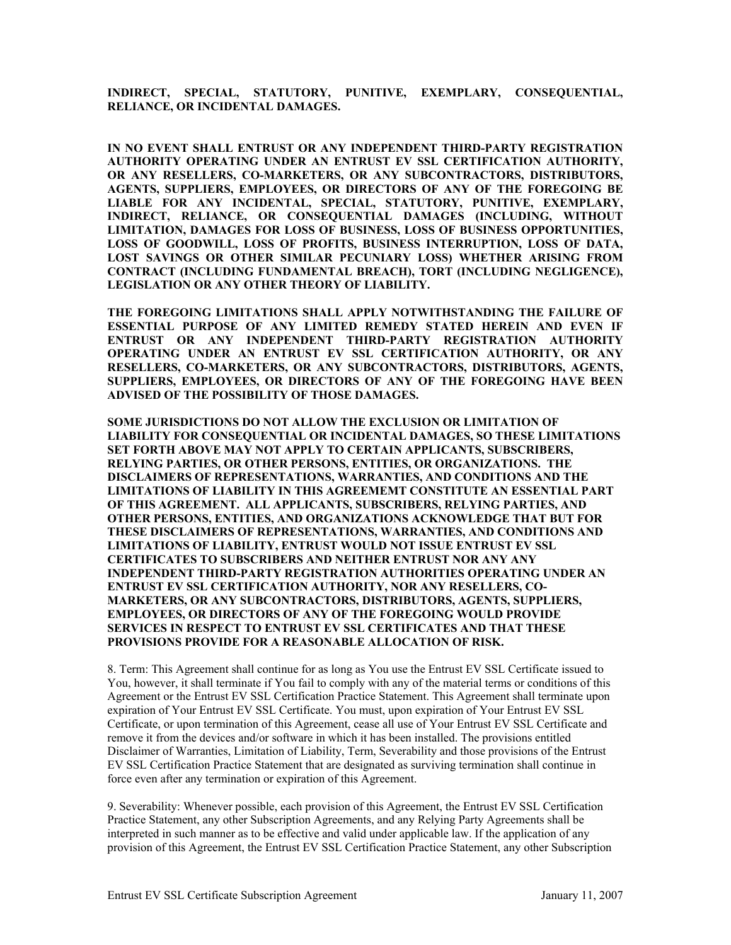**INDIRECT, SPECIAL, STATUTORY, PUNITIVE, EXEMPLARY, CONSEQUENTIAL, RELIANCE, OR INCIDENTAL DAMAGES.** 

**IN NO EVENT SHALL ENTRUST OR ANY INDEPENDENT THIRD-PARTY REGISTRATION AUTHORITY OPERATING UNDER AN ENTRUST EV SSL CERTIFICATION AUTHORITY, OR ANY RESELLERS, CO-MARKETERS, OR ANY SUBCONTRACTORS, DISTRIBUTORS, AGENTS, SUPPLIERS, EMPLOYEES, OR DIRECTORS OF ANY OF THE FOREGOING BE LIABLE FOR ANY INCIDENTAL, SPECIAL, STATUTORY, PUNITIVE, EXEMPLARY, INDIRECT, RELIANCE, OR CONSEQUENTIAL DAMAGES (INCLUDING, WITHOUT LIMITATION, DAMAGES FOR LOSS OF BUSINESS, LOSS OF BUSINESS OPPORTUNITIES, LOSS OF GOODWILL, LOSS OF PROFITS, BUSINESS INTERRUPTION, LOSS OF DATA, LOST SAVINGS OR OTHER SIMILAR PECUNIARY LOSS) WHETHER ARISING FROM CONTRACT (INCLUDING FUNDAMENTAL BREACH), TORT (INCLUDING NEGLIGENCE), LEGISLATION OR ANY OTHER THEORY OF LIABILITY.** 

**THE FOREGOING LIMITATIONS SHALL APPLY NOTWITHSTANDING THE FAILURE OF ESSENTIAL PURPOSE OF ANY LIMITED REMEDY STATED HEREIN AND EVEN IF ENTRUST OR ANY INDEPENDENT THIRD-PARTY REGISTRATION AUTHORITY OPERATING UNDER AN ENTRUST EV SSL CERTIFICATION AUTHORITY, OR ANY RESELLERS, CO-MARKETERS, OR ANY SUBCONTRACTORS, DISTRIBUTORS, AGENTS, SUPPLIERS, EMPLOYEES, OR DIRECTORS OF ANY OF THE FOREGOING HAVE BEEN ADVISED OF THE POSSIBILITY OF THOSE DAMAGES.** 

**SOME JURISDICTIONS DO NOT ALLOW THE EXCLUSION OR LIMITATION OF LIABILITY FOR CONSEQUENTIAL OR INCIDENTAL DAMAGES, SO THESE LIMITATIONS SET FORTH ABOVE MAY NOT APPLY TO CERTAIN APPLICANTS, SUBSCRIBERS, RELYING PARTIES, OR OTHER PERSONS, ENTITIES, OR ORGANIZATIONS. THE DISCLAIMERS OF REPRESENTATIONS, WARRANTIES, AND CONDITIONS AND THE LIMITATIONS OF LIABILITY IN THIS AGREEMEMT CONSTITUTE AN ESSENTIAL PART OF THIS AGREEMENT. ALL APPLICANTS, SUBSCRIBERS, RELYING PARTIES, AND OTHER PERSONS, ENTITIES, AND ORGANIZATIONS ACKNOWLEDGE THAT BUT FOR THESE DISCLAIMERS OF REPRESENTATIONS, WARRANTIES, AND CONDITIONS AND LIMITATIONS OF LIABILITY, ENTRUST WOULD NOT ISSUE ENTRUST EV SSL CERTIFICATES TO SUBSCRIBERS AND NEITHER ENTRUST NOR ANY ANY INDEPENDENT THIRD-PARTY REGISTRATION AUTHORITIES OPERATING UNDER AN ENTRUST EV SSL CERTIFICATION AUTHORITY, NOR ANY RESELLERS, CO-MARKETERS, OR ANY SUBCONTRACTORS, DISTRIBUTORS, AGENTS, SUPPLIERS, EMPLOYEES, OR DIRECTORS OF ANY OF THE FOREGOING WOULD PROVIDE SERVICES IN RESPECT TO ENTRUST EV SSL CERTIFICATES AND THAT THESE PROVISIONS PROVIDE FOR A REASONABLE ALLOCATION OF RISK.** 

8. Term: This Agreement shall continue for as long as You use the Entrust EV SSL Certificate issued to You, however, it shall terminate if You fail to comply with any of the material terms or conditions of this Agreement or the Entrust EV SSL Certification Practice Statement. This Agreement shall terminate upon expiration of Your Entrust EV SSL Certificate. You must, upon expiration of Your Entrust EV SSL Certificate, or upon termination of this Agreement, cease all use of Your Entrust EV SSL Certificate and remove it from the devices and/or software in which it has been installed. The provisions entitled Disclaimer of Warranties, Limitation of Liability, Term, Severability and those provisions of the Entrust EV SSL Certification Practice Statement that are designated as surviving termination shall continue in force even after any termination or expiration of this Agreement.

9. Severability: Whenever possible, each provision of this Agreement, the Entrust EV SSL Certification Practice Statement, any other Subscription Agreements, and any Relying Party Agreements shall be interpreted in such manner as to be effective and valid under applicable law. If the application of any provision of this Agreement, the Entrust EV SSL Certification Practice Statement, any other Subscription